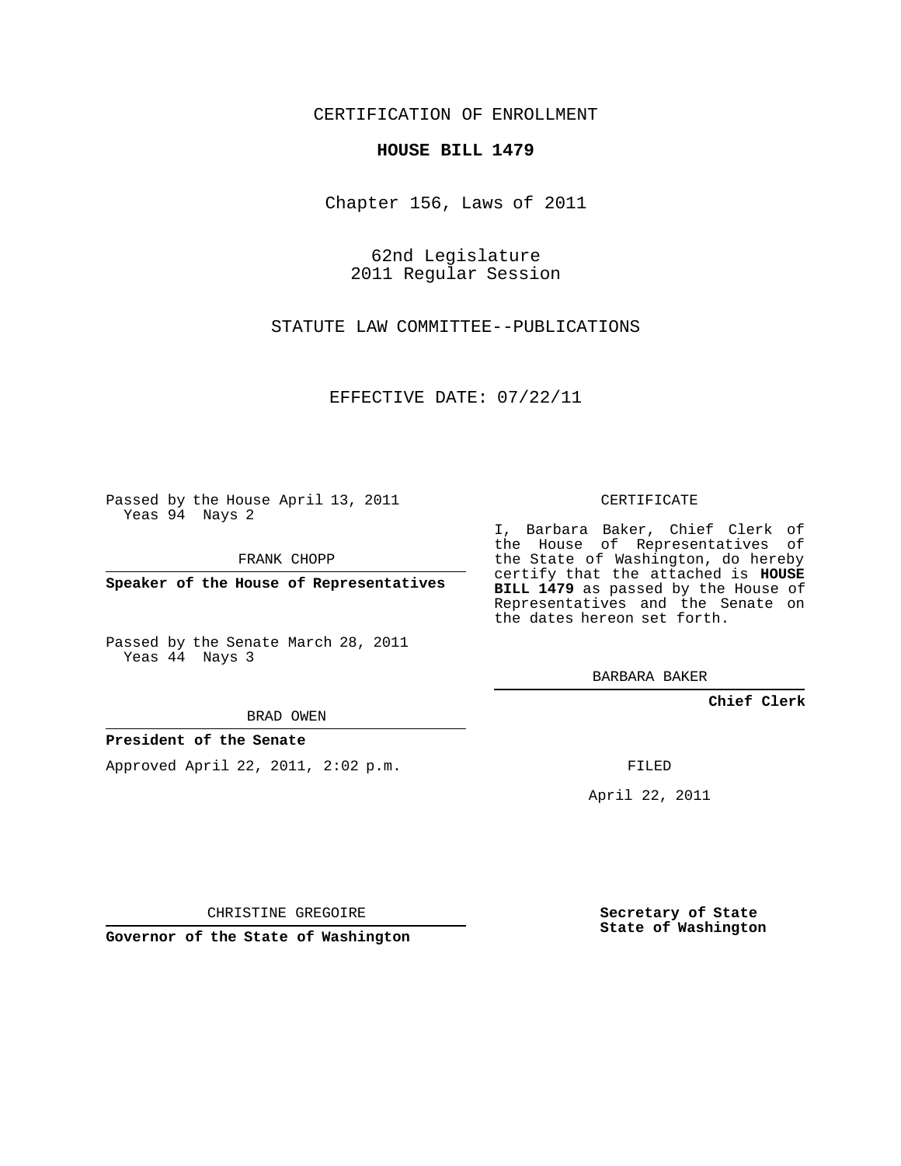CERTIFICATION OF ENROLLMENT

## **HOUSE BILL 1479**

Chapter 156, Laws of 2011

62nd Legislature 2011 Regular Session

STATUTE LAW COMMITTEE--PUBLICATIONS

EFFECTIVE DATE: 07/22/11

Passed by the House April 13, 2011 Yeas 94 Nays 2

FRANK CHOPP

**Speaker of the House of Representatives**

Passed by the Senate March 28, 2011 Yeas 44 Nays 3

## BRAD OWEN

**President of the Senate**

Approved April 22, 2011, 2:02 p.m.

CERTIFICATE

I, Barbara Baker, Chief Clerk of the House of Representatives of the State of Washington, do hereby certify that the attached is **HOUSE BILL 1479** as passed by the House of Representatives and the Senate on the dates hereon set forth.

BARBARA BAKER

**Chief Clerk**

FILED

April 22, 2011

CHRISTINE GREGOIRE

**Governor of the State of Washington**

**Secretary of State State of Washington**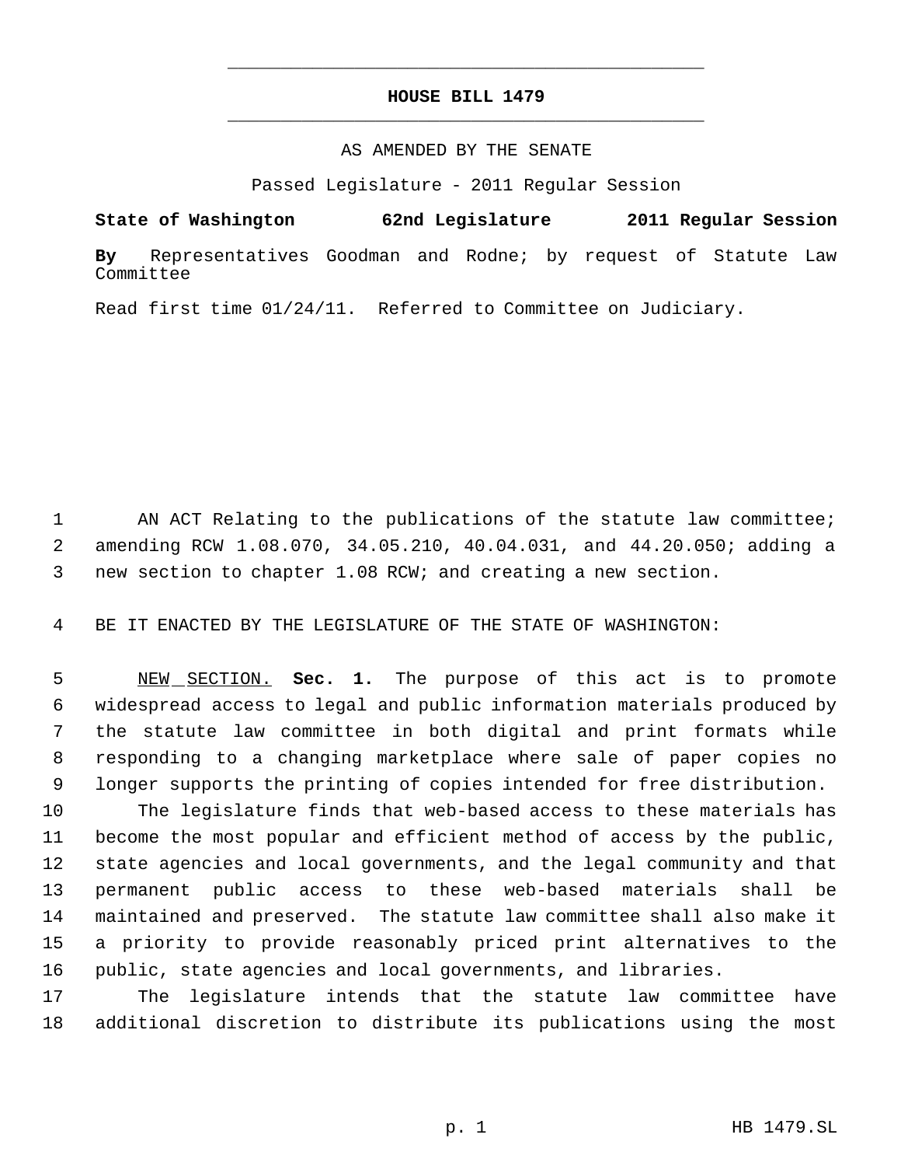## **HOUSE BILL 1479** \_\_\_\_\_\_\_\_\_\_\_\_\_\_\_\_\_\_\_\_\_\_\_\_\_\_\_\_\_\_\_\_\_\_\_\_\_\_\_\_\_\_\_\_\_

\_\_\_\_\_\_\_\_\_\_\_\_\_\_\_\_\_\_\_\_\_\_\_\_\_\_\_\_\_\_\_\_\_\_\_\_\_\_\_\_\_\_\_\_\_

## AS AMENDED BY THE SENATE

Passed Legislature - 2011 Regular Session

**State of Washington 62nd Legislature 2011 Regular Session**

**By** Representatives Goodman and Rodne; by request of Statute Law Committee

Read first time 01/24/11. Referred to Committee on Judiciary.

1 AN ACT Relating to the publications of the statute law committee; amending RCW 1.08.070, 34.05.210, 40.04.031, and 44.20.050; adding a new section to chapter 1.08 RCW; and creating a new section.

BE IT ENACTED BY THE LEGISLATURE OF THE STATE OF WASHINGTON:

 NEW SECTION. **Sec. 1.** The purpose of this act is to promote widespread access to legal and public information materials produced by the statute law committee in both digital and print formats while responding to a changing marketplace where sale of paper copies no longer supports the printing of copies intended for free distribution.

 The legislature finds that web-based access to these materials has become the most popular and efficient method of access by the public, state agencies and local governments, and the legal community and that permanent public access to these web-based materials shall be maintained and preserved. The statute law committee shall also make it a priority to provide reasonably priced print alternatives to the public, state agencies and local governments, and libraries.

 The legislature intends that the statute law committee have additional discretion to distribute its publications using the most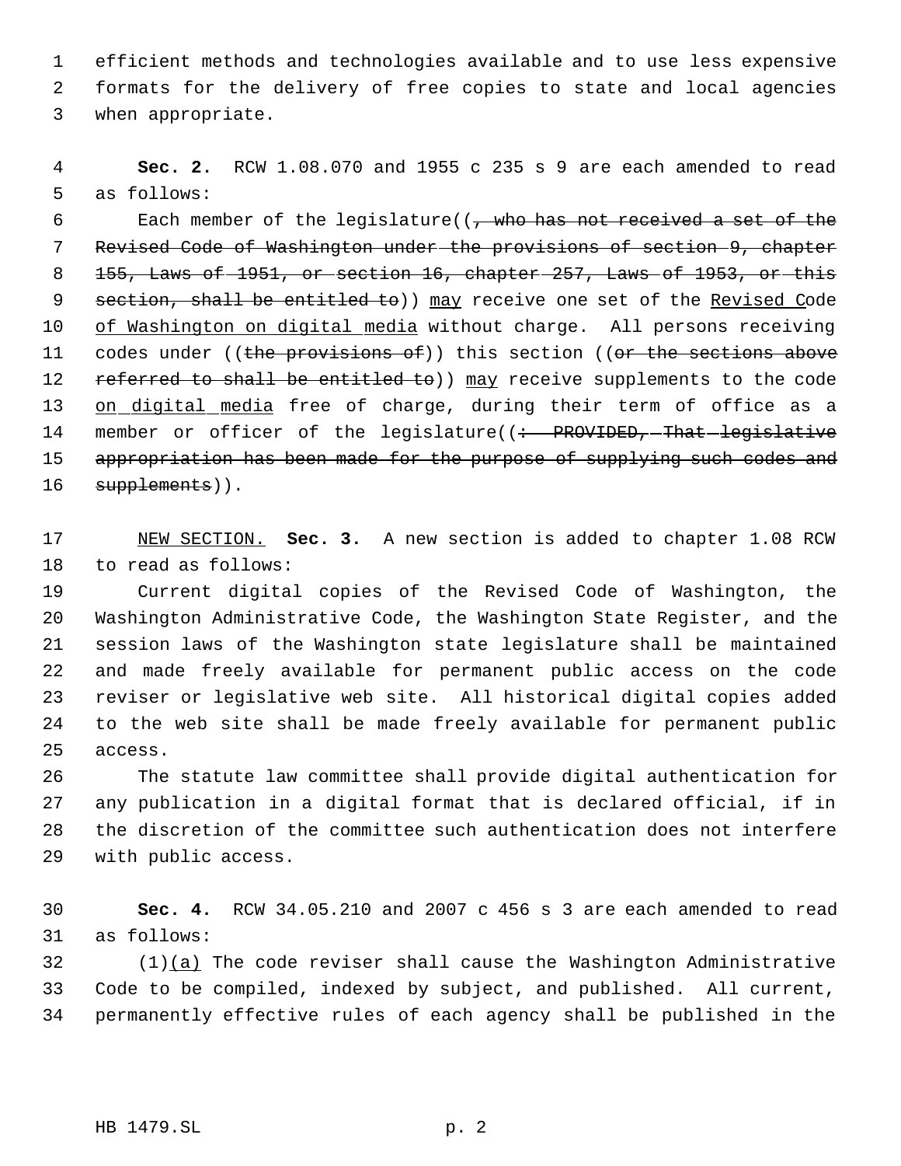efficient methods and technologies available and to use less expensive formats for the delivery of free copies to state and local agencies when appropriate.

 **Sec. 2.** RCW 1.08.070 and 1955 c 235 s 9 are each amended to read as follows:

6 Each member of the legislature( $($ , who has not received a set of the Revised Code of Washington under the provisions of section 9, chapter 155, Laws of 1951, or section 16, chapter 257, Laws of 1953, or this 9 section, shall be entitled to)) may receive one set of the Revised Code 10 of Washington on digital media without charge. All persons receiving 11 codes under ((the provisions of)) this section ((or the sections above 12 referred to shall be entitled to)) may receive supplements to the code on digital media free of charge, during their term of office as a 14 member or officer of the legislature((: PROVIDED, That legislative 15 appropriation has been made for the purpose of supplying such codes and 16 supplements)).

 NEW SECTION. **Sec. 3.** A new section is added to chapter 1.08 RCW to read as follows:

 Current digital copies of the Revised Code of Washington, the Washington Administrative Code, the Washington State Register, and the session laws of the Washington state legislature shall be maintained and made freely available for permanent public access on the code reviser or legislative web site. All historical digital copies added to the web site shall be made freely available for permanent public access.

 The statute law committee shall provide digital authentication for any publication in a digital format that is declared official, if in the discretion of the committee such authentication does not interfere with public access.

 **Sec. 4.** RCW 34.05.210 and 2007 c 456 s 3 are each amended to read as follows:

 (1)(a) The code reviser shall cause the Washington Administrative Code to be compiled, indexed by subject, and published. All current, permanently effective rules of each agency shall be published in the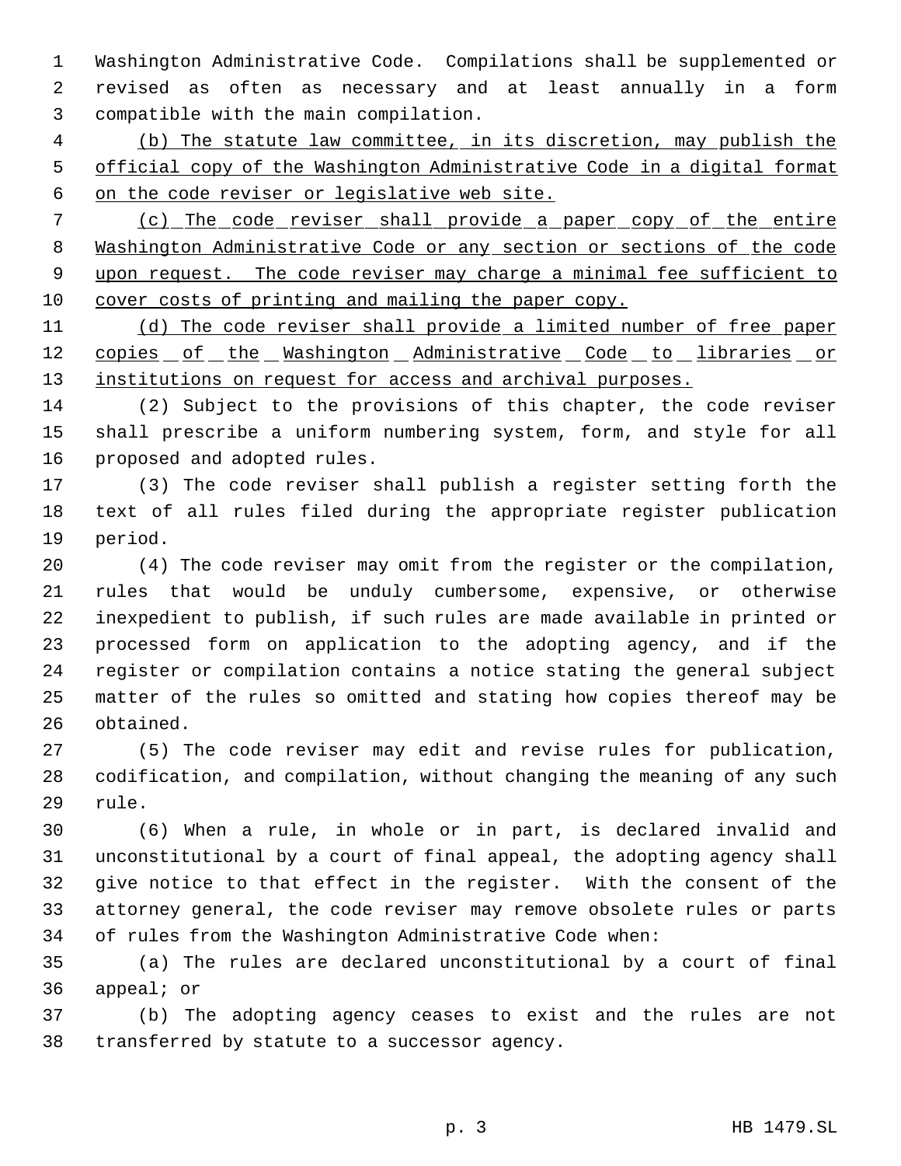Washington Administrative Code. Compilations shall be supplemented or revised as often as necessary and at least annually in a form compatible with the main compilation.

 (b) The statute law committee, in its discretion, may publish the official copy of the Washington Administrative Code in a digital format on the code reviser or legislative web site.

 (c) The code reviser shall provide a paper copy of the entire Washington Administrative Code or any section or sections of the code upon request. The code reviser may charge a minimal fee sufficient to cover costs of printing and mailing the paper copy.

11 (d) The code reviser shall provide a limited number of free paper 12 copies of the Washington Administrative Code to libraries or 13 institutions on request for access and archival purposes.

 (2) Subject to the provisions of this chapter, the code reviser shall prescribe a uniform numbering system, form, and style for all proposed and adopted rules.

 (3) The code reviser shall publish a register setting forth the text of all rules filed during the appropriate register publication period.

 (4) The code reviser may omit from the register or the compilation, rules that would be unduly cumbersome, expensive, or otherwise inexpedient to publish, if such rules are made available in printed or processed form on application to the adopting agency, and if the register or compilation contains a notice stating the general subject matter of the rules so omitted and stating how copies thereof may be obtained.

 (5) The code reviser may edit and revise rules for publication, codification, and compilation, without changing the meaning of any such rule.

 (6) When a rule, in whole or in part, is declared invalid and unconstitutional by a court of final appeal, the adopting agency shall give notice to that effect in the register. With the consent of the attorney general, the code reviser may remove obsolete rules or parts of rules from the Washington Administrative Code when:

 (a) The rules are declared unconstitutional by a court of final appeal; or

 (b) The adopting agency ceases to exist and the rules are not transferred by statute to a successor agency.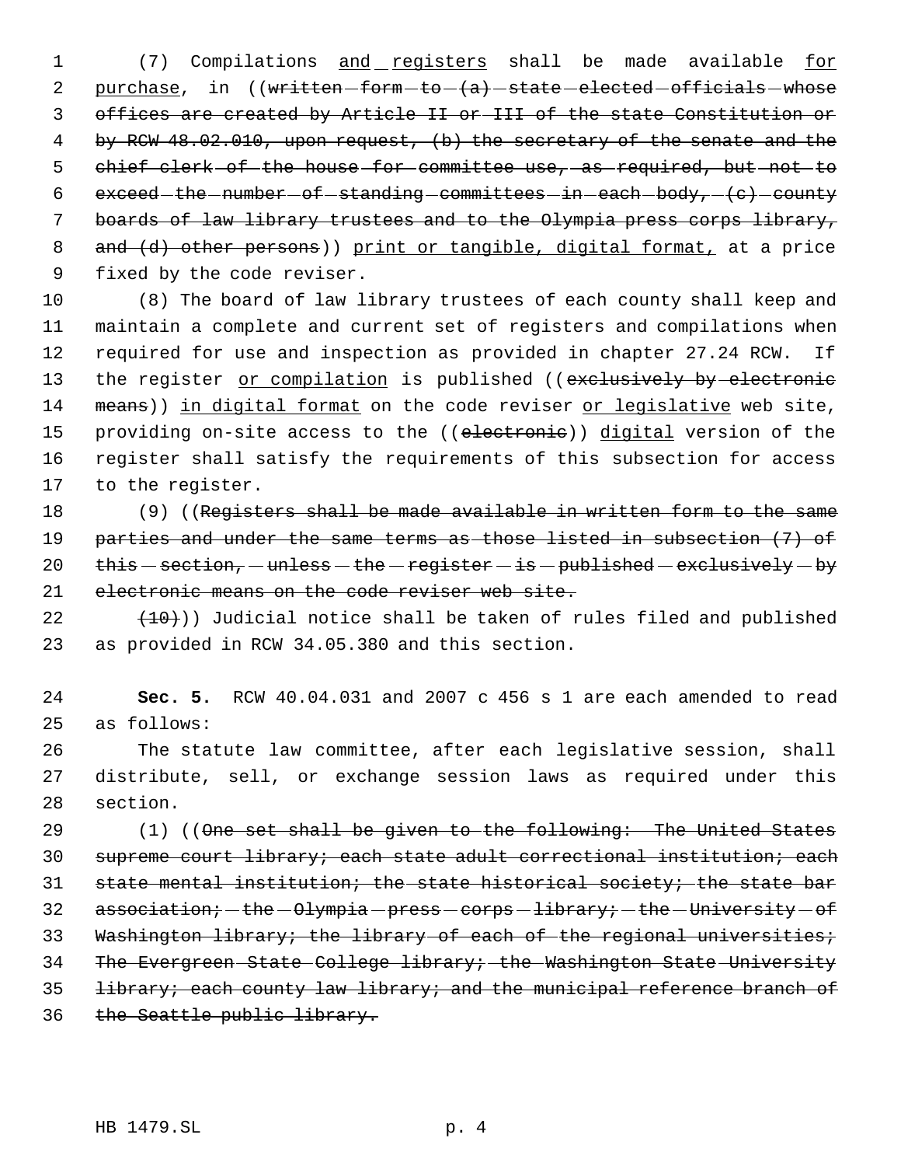1 (7) Compilations and registers shall be made available for 2 purchase, in ((written-form-to-(a)-state-elected-officials-whose 3 offices are created by Article II or III of the state Constitution or 4 by RCW 48.02.010, upon request, (b) the secretary of the senate and the 5 chief clerk of the house for committee use, as required, but not to 6  $exceed-the-number-of-standing-commities-in-each-body,  $- (c)-county$$  7 boards of law library trustees and to the Olympia press corps library, 8 and (d) other persons)) print or tangible, digital format, at a price 9 fixed by the code reviser.

 (8) The board of law library trustees of each county shall keep and maintain a complete and current set of registers and compilations when required for use and inspection as provided in chapter 27.24 RCW. If 13 the register or compilation is published ((exclusively by electronic 14 means)) in digital format on the code reviser or legislative web site, 15 providing on-site access to the ((electronie)) digital version of the register shall satisfy the requirements of this subsection for access to the register.

18 (9) ((Registers shall be made available in written form to the same 19 parties and under the same terms as those listed in subsection (7) of 20  $\theta$  this - section, - unless - the - register - is - published - exclusively - by 21 electronic means on the code reviser web site.

 $(22 + (10))$  Judicial notice shall be taken of rules filed and published 23 as provided in RCW 34.05.380 and this section.

24 **Sec. 5.** RCW 40.04.031 and 2007 c 456 s 1 are each amended to read 25 as follows:

26 The statute law committee, after each legislative session, shall 27 distribute, sell, or exchange session laws as required under this 28 section.

29 (1) ((One set shall be given to the following: The United States 30 supreme court library; each state adult correctional institution; each 31 state mental institution; the state historical society; the state bar 32 association; - the - Olympia - press - corps - library; - the - University - of 33 Washington library; the library of each of the regional universities; 34 The Evergreen State College library; the Washington State University 35 library; each county law library; and the municipal reference branch of 36 the Seattle public library.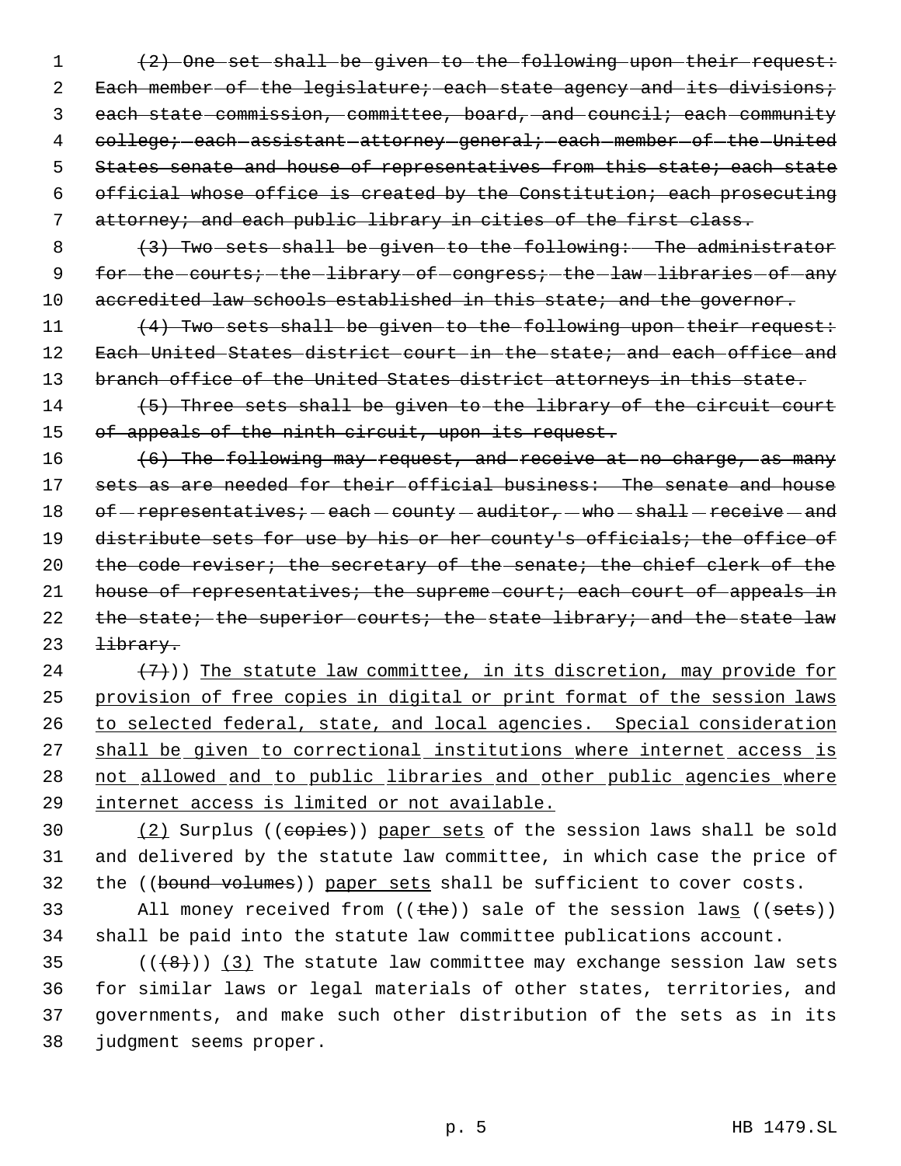1 (2) One set shall be given to the following upon their request: 2 Each member of the legislature; each state agency and its divisions; 3 each state commission, committee, board, and council; each community 4 college; - each - assistant - attorney - general; - each - member - of - the - United 5 States senate and house of representatives from this state; each state 6 official whose office is created by the Constitution; each prosecuting 7 attorney; and each public library in cities of the first class.

8 (3) Two sets shall be given to the following: The administrator 9 for-the-courts; the library of congress; the law libraries of any 10 accredited law schools established in this state; and the governor.

11  $(4)$  Two sets shall be given to the following upon their request: 12 Each United States district court in the state; and each office and 13 branch office of the United States district attorneys in this state.

14 (5) Three sets shall be given to the library of the circuit court 15 of appeals of the ninth circuit, upon its request.

16 (6) The following may request, and receive at no charge, as many 17 sets as are needed for their official business: The senate and house 18 of  $-$  representatives;  $-$  each  $-$  county  $-$  auditor,  $-$  who  $-$  shall  $-$  receive  $-$  and 19 distribute sets for use by his or her county's officials; the office of 20 the code reviser; the secretary of the senate; the chief clerk of the 21 house of representatives; the supreme court; each court of appeals in 22 the state; the superior courts; the state library; and the state law 23 <del>library.</del>

 $(7)$ )) The statute law committee, in its discretion, may provide for provision of free copies in digital or print format of the session laws to selected federal, state, and local agencies. Special consideration 27 shall be given to correctional institutions where internet access is 28 not allowed and to public libraries and other public agencies where internet access is limited or not available.

30 (2) Surplus ((copies)) paper sets of the session laws shall be sold 31 and delivered by the statute law committee, in which case the price of 32 the ((bound volumes)) paper sets shall be sufficient to cover costs.

33 All money received from ((the)) sale of the session laws ((sets)) 34 shall be paid into the statute law committee publications account.

 $((+8))$   $(3)$  The statute law committee may exchange session law sets for similar laws or legal materials of other states, territories, and governments, and make such other distribution of the sets as in its judgment seems proper.